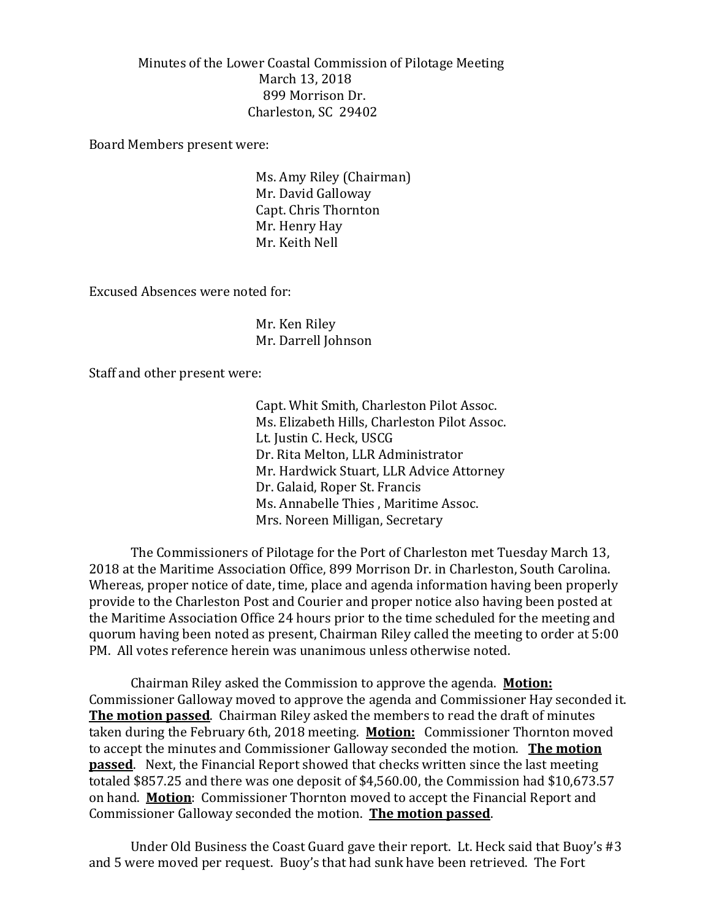Minutes of the Lower Coastal Commission of Pilotage Meeting March 13, 2018 899 Morrison Dr. Charleston, SC 29402

Board Members present were:

Ms. Amy Riley (Chairman) Mr. David Galloway Capt. Chris Thornton Mr. Henry Hay Mr. Keith Nell

Excused Absences were noted for:

Mr. Ken Riley Mr. Darrell Johnson

Staff and other present were:

Capt. Whit Smith, Charleston Pilot Assoc. Ms. Elizabeth Hills, Charleston Pilot Assoc. Lt. Justin C. Heck, USCG Dr. Rita Melton, LLR Administrator Mr. Hardwick Stuart, LLR Advice Attorney Dr. Galaid, Roper St. Francis Ms. Annabelle Thies , Maritime Assoc. Mrs. Noreen Milligan, Secretary

The Commissioners of Pilotage for the Port of Charleston met Tuesday March 13, 2018 at the Maritime Association Office, 899 Morrison Dr. in Charleston, South Carolina. Whereas, proper notice of date, time, place and agenda information having been properly provide to the Charleston Post and Courier and proper notice also having been posted at the Maritime Association Office 24 hours prior to the time scheduled for the meeting and quorum having been noted as present, Chairman Riley called the meeting to order at 5:00 PM. All votes reference herein was unanimous unless otherwise noted.

Chairman Riley asked the Commission to approve the agenda. **Motion:** Commissioner Galloway moved to approve the agenda and Commissioner Hay seconded it. **The motion passed**. Chairman Riley asked the members to read the draft of minutes taken during the February 6th, 2018 meeting. **Motion:** Commissioner Thornton moved to accept the minutes and Commissioner Galloway seconded the motion. **The motion passed**. Next, the Financial Report showed that checks written since the last meeting totaled \$857.25 and there was one deposit of \$4,560.00, the Commission had \$10,673.57 on hand. **Motion**: Commissioner Thornton moved to accept the Financial Report and Commissioner Galloway seconded the motion. **The motion passed**.

Under Old Business the Coast Guard gave their report. Lt. Heck said that Buoy's #3 and 5 were moved per request. Buoy's that had sunk have been retrieved. The Fort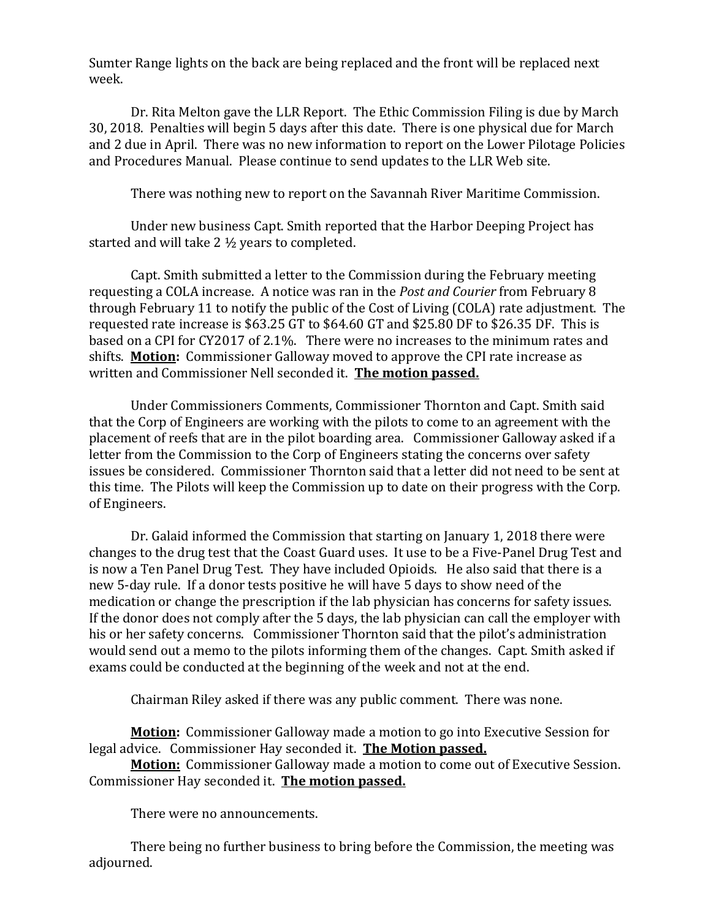Sumter Range lights on the back are being replaced and the front will be replaced next week.

Dr. Rita Melton gave the LLR Report. The Ethic Commission Filing is due by March 30, 2018. Penalties will begin 5 days after this date. There is one physical due for March and 2 due in April. There was no new information to report on the Lower Pilotage Policies and Procedures Manual. Please continue to send updates to the LLR Web site.

There was nothing new to report on the Savannah River Maritime Commission.

Under new business Capt. Smith reported that the Harbor Deeping Project has started and will take 2 ½ years to completed.

Capt. Smith submitted a letter to the Commission during the February meeting requesting a COLA increase. A notice was ran in the *Post and Courier* from February 8 through February 11 to notify the public of the Cost of Living (COLA) rate adjustment. The requested rate increase is \$63.25 GT to \$64.60 GT and \$25.80 DF to \$26.35 DF. This is based on a CPI for CY2017 of 2.1%. There were no increases to the minimum rates and shifts. **Motion:** Commissioner Galloway moved to approve the CPI rate increase as written and Commissioner Nell seconded it. **The motion passed.** 

Under Commissioners Comments, Commissioner Thornton and Capt. Smith said that the Corp of Engineers are working with the pilots to come to an agreement with the placement of reefs that are in the pilot boarding area. Commissioner Galloway asked if a letter from the Commission to the Corp of Engineers stating the concerns over safety issues be considered. Commissioner Thornton said that a letter did not need to be sent at this time. The Pilots will keep the Commission up to date on their progress with the Corp. of Engineers.

Dr. Galaid informed the Commission that starting on January 1, 2018 there were changes to the drug test that the Coast Guard uses. It use to be a Five-Panel Drug Test and is now a Ten Panel Drug Test. They have included Opioids. He also said that there is a new 5-day rule. If a donor tests positive he will have 5 days to show need of the medication or change the prescription if the lab physician has concerns for safety issues. If the donor does not comply after the 5 days, the lab physician can call the employer with his or her safety concerns. Commissioner Thornton said that the pilot's administration would send out a memo to the pilots informing them of the changes. Capt. Smith asked if exams could be conducted at the beginning of the week and not at the end.

Chairman Riley asked if there was any public comment. There was none.

**Motion:** Commissioner Galloway made a motion to go into Executive Session for legal advice. Commissioner Hay seconded it. **The Motion passed.**

**Motion:** Commissioner Galloway made a motion to come out of Executive Session. Commissioner Hay seconded it. **The motion passed.**

There were no announcements.

There being no further business to bring before the Commission, the meeting was adjourned.